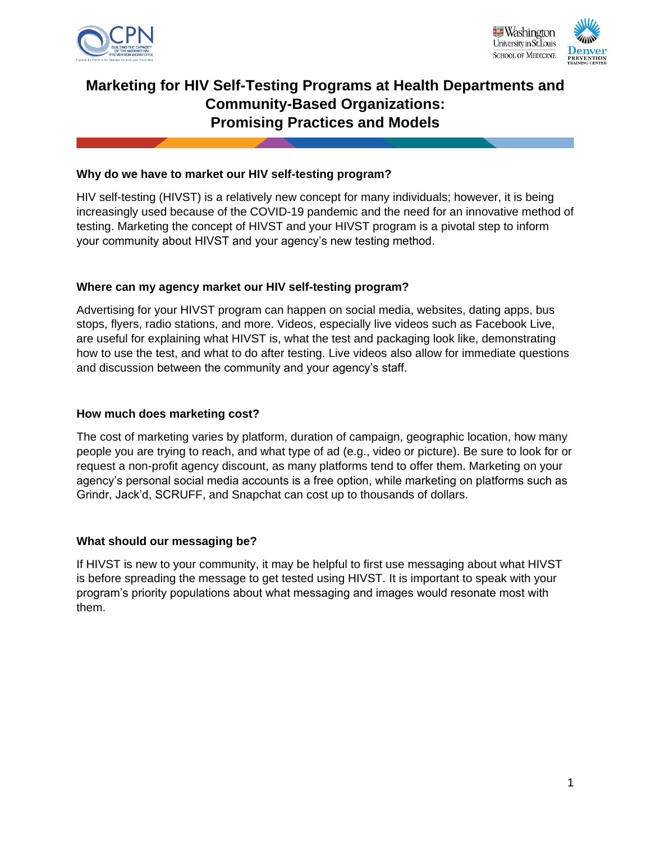



# **Marketing for HIV Self-Testing Programs at Health Departments and Community-Based Organizations: Promising Practices and Models**

### **Why do we have to market our HIV self-testing program?**

HIV self-testing (HIVST) is a relatively new concept for many individuals; however, it is being increasingly used because of the COVID-19 pandemic and the need for an innovative method of testing. Marketing the concept of HIVST and your HIVST program is a pivotal step to inform your community about HIVST and your agency's new testing method.

#### **Where can my agency market our HIV self-testing program?**

Advertising for your HIVST program can happen on social media, websites, dating apps, bus stops, flyers, radio stations, and more. Videos, especially live videos such as Facebook Live, are useful for explaining what HIVST is, what the test and packaging look like, demonstrating how to use the test, and what to do after testing. Live videos also allow for immediate questions and discussion between the community and your agency's staff.

#### **How much does marketing cost?**

The cost of marketing varies by platform, duration of campaign, geographic location, how many people you are trying to reach, and what type of ad (e.g., video or picture). Be sure to look for or request a non-profit agency discount, as many platforms tend to offer them. Marketing on your agency's personal social media accounts is a free option, while marketing on platforms such as Grindr, Jack'd, SCRUFF, and Snapchat can cost up to thousands of dollars.

#### **What should our messaging be?**

If HIVST is new to your community, it may be helpful to first use messaging about what HIVST is before spreading the message to get tested using HIVST. It is important to speak with your program's priority populations about what messaging and images would resonate most with them.